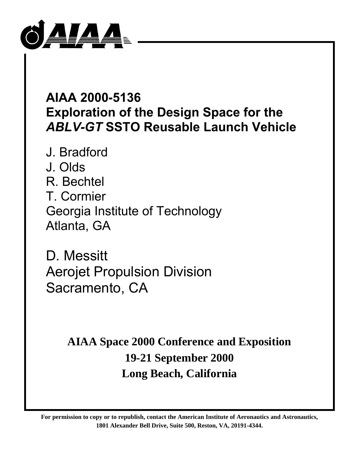

# **AIAA 2000-5136 Exploration of the Design Space for the** *ABLV-GT* **SSTO Reusable Launch Vehicle**

J. Bradford J. Olds R. Bechtel T. Cormier Georgia Institute of Technology Atlanta, GA

D. Messitt Aerojet Propulsion Division Sacramento, CA

> **AIAA Space 2000 Conference and Exposition 19-21 September 2000 Long Beach, California**

**For permission to copy or to republish, contact the American Institute of Aeronautics and Astronautics, 1801 Alexander Bell Drive, Suite 500, Reston, VA, 20191-4344.**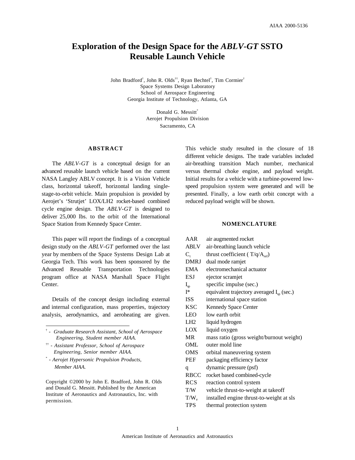# **Exploration of the Design Space for the** *ABLV-GT* **SSTO Reusable Launch Vehicle**

John Bradford<sup>†</sup>, John R. Olds<sup>††</sup>, Ryan Bechtel<sup>†</sup>, Tim Cormier<sup>†</sup> Space Systems Design Laboratory School of Aerospace Engineering Georgia Institute of Technology, Atlanta, GA

> Donald G. Messitt\* Aerojet Propulsion Division Sacramento, CA

#### **ABSTRACT**

The *ABLV-GT* is a conceptual design for an advanced reusable launch vehicle based on the current NASA Langley ABLV concept. It is a Vision Vehicle class, horizontal takeoff, horizontal landing singlestage-to-orbit vehicle. Main propulsion is provided by Aerojet's 'Strutjet' LOX/LH2 rocket-based combined cycle engine design. The *ABLV-GT* is designed to deliver 25,000 lbs. to the orbit of the International Space Station from Kennedy Space Center.

This paper will report the findings of a conceptual design study on the *ABLV-GT* performed over the last year by members of the Space Systems Design Lab at Georgia Tech. This work has been sponsored by the Advanced Reusable Transportation Technologies program office at NASA Marshall Space Flight Center.

Details of the concept design including external and internal configuration, mass properties, trajectory analysis, aerodynamics, and aeroheating are given.

- †† *Assistant Professor, School of Aerospace Engineering, Senior member AIAA.*
- \*  *Aerojet Hypersonic Propulsion Products, Member AIAA.*

Copyright ©2000 by John E. Bradford, John R. Olds and Donald G. Messitt. Published by the American Institute of Aeronautics and Astronautics, Inc. with permission.

This vehicle study resulted in the closure of 18 different vehicle designs. The trade variables included air-breathing transition Mach number, mechanical versus thermal choke engine, and payload weight. Initial results for a vehicle with a turbine-powered lowspeed propulsion system were generated and will be presented. Finally, a low earth orbit concept with a reduced payload weight will be shown.

# **NOMENCLATURE**

| AAR             | air augmented rocket                           |  |  |
|-----------------|------------------------------------------------|--|--|
| <b>ABLV</b>     | air-breathing launch vehicle                   |  |  |
| $C_{\rm t}$     | thrust coefficient ( $T/q/A_{ref}$ )           |  |  |
| <b>DMRJ</b>     | dual mode ramjet                               |  |  |
| EMA             | electromechanical actuator                     |  |  |
| ESJ             | ejector scramjet                               |  |  |
| $I_{sp}$        | specific impulse (sec.)                        |  |  |
| $\mathbb{I}^*$  | equivalent trajectory averaged $I_{sp}$ (sec.) |  |  |
| <b>ISS</b>      | international space station                    |  |  |
| <b>KSC</b>      | Kennedy Space Center                           |  |  |
| LEO             | low earth orbit                                |  |  |
| LH <sub>2</sub> | liquid hydrogen                                |  |  |
| LOX             | liquid oxygen                                  |  |  |
| <b>MR</b>       | mass ratio (gross weight/burnout weight)       |  |  |
| OML             | outer mold line                                |  |  |
| OMS             | orbital maneuvering system                     |  |  |
| PEF             | packaging efficiency factor                    |  |  |
| q               | dynamic pressure (psf)                         |  |  |
| RBCC            | rocket based combined-cycle                    |  |  |
| <b>RCS</b>      | reaction control system                        |  |  |
| T/W             | vehicle thrust-to-weight at takeoff            |  |  |
| $T/W_e$         | installed engine thrust-to-weight at sls       |  |  |
| <b>TPS</b>      | thermal protection system                      |  |  |
|                 |                                                |  |  |

<sup>†</sup>  *- Graduate Research Assistant, School of Aerospace Engineering, Student member AIAA.*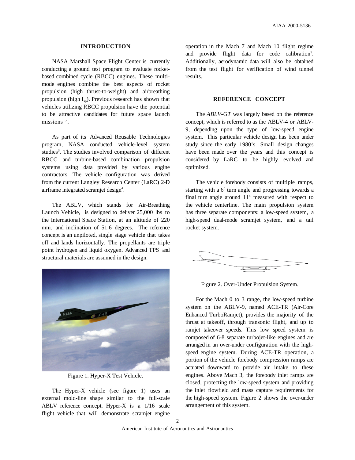#### **INTRODUCTION**

NASA Marshall Space Flight Center is currently conducting a ground test program to evaluate rocketbased combined cycle (RBCC) engines. These multimode engines combine the best aspects of rocket propulsion (high thrust-to-weight) and airbreathing propulsion (high  $I_{\rm SD}$ ). Previous research has shown that vehicles utilizing RBCC propulsion have the potential to be attractive candidates for future space launch  $missions<sup>1,2</sup>$ .

As part of its Advanced Reusable Technologies program, NASA conducted vehicle-level system studies<sup>3</sup>. The studies involved comparison of different RBCC and turbine-based combination propulsion systems using data provided by various engine contractors. The vehicle configuration was derived from the current Langley Research Center (LaRC) 2-D airframe integrated scramjet design<sup>4</sup>.

The ABLV, which stands for Air-Breathing Launch Vehicle, is designed to deliver 25,000 lbs to the International Space Station, at an altitude of 220 nmi. and inclination of 51.6 degrees. The reference concept is an unpiloted, single stage vehicle that takes off and lands horizontally. The propellants are triple point hydrogen and liquid oxygen. Advanced TPS and structural materials are assumed in the design.



Figure 1. Hyper-X Test Vehicle.

The Hyper-X vehicle (see figure 1) uses an external mold-line shape similar to the full-scale ABLV reference concept. Hyper-X is a 1/16 scale flight vehicle that will demonstrate scramjet engine operation in the Mach 7 and Mach 10 flight regime and provide flight data for code calibration<sup>5</sup>. Additionally, aerodynamic data will also be obtained from the test flight for verification of wind tunnel results.

# **REFERENCE CONCEPT**

The *ABLV-GT* was largely based on the reference concept, which is referred to as the ABLV-4 or ABLV-9, depending upon the type of low-speed engine system. This particular vehicle design has been under study since the early 1980's. Small design changes have been made over the years and this concept is considered by LaRC to be highly evolved and optimized.

The vehicle forebody consists of multiple ramps, starting with a 6° turn angle and progressing towards a final turn angle around  $11^\circ$  measured with respect to the vehicle centerline. The main propulsion system has three separate components: a low-speed system, a high-speed dual-mode scramjet system, and a tail rocket system.



Figure 2. Over-Under Propulsion System.

For the Mach 0 to 3 range, the low-speed turbine system on the ABLV-9, named ACE-TR (Air-Core Enhanced TurboRamjet), provides the majority of the thrust at takeoff, through transonic flight, and up to ramjet takeover speeds. This low speed system is composed of 6-8 separate turbojet-like engines and are arranged in an over-under configuration with the highspeed engine system. During ACE-TR operation, a portion of the vehicle forebody compression ramps are actuated downward to provide air intake to these engines. Above Mach 3, the forebody inlet ramps are closed, protecting the low-speed system and providing the inlet flowfield and mass capture requirements for the high-speed system. Figure 2 shows the over-under arrangement of this system.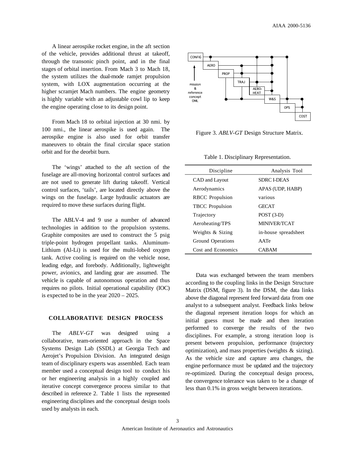A linear aerospike rocket engine, in the aft section of the vehicle, provides additional thrust at takeoff, through the transonic pinch point, and in the final stages of orbital insertion. From Mach 3 to Mach 18, the system utilizes the dual-mode ramjet propulsion system, with LOX augmentation occurring at the higher scramjet Mach numbers. The engine geometry is highly variable with an adjustable cowl lip to keep the engine operating close to its design point.

From Mach 18 to orbital injection at 30 nmi. by 100 nmi., the linear aerospike is used again. The aerospike engine is also used for orbit transfer maneuvers to obtain the final circular space station orbit and for the deorbit burn.

The 'wings' attached to the aft section of the fuselage are all-moving horizontal control surfaces and are not used to generate lift during takeoff. Vertical control surfaces, 'tails', are located directly above the wings on the fuselage. Large hydraulic actuators are required to move these surfaces during flight.

The ABLV-4 and 9 use a number of advanced technologies in addition to the propulsion systems. Graphite composites are used to construct the 5 psig triple-point hydrogen propellant tanks. Aluminum-Lithium (Al-Li) is used for the multi-lobed oxygen tank. Active cooling is required on the vehicle nose, leading edge, and forebody. Additionally, lightweight power, avionics, and landing gear are assumed. The vehicle is capable of autonomous operation and thus requires no pilots. Initial operational capability (IOC) is expected to be in the year 2020 – 2025.

# **COLLABORATIVE DESIGN PROCESS**

The *ABLV-GT* was designed using a collaborative, team-oriented approach in the Space Systems Design Lab (SSDL) at Georgia Tech and Aerojet's Propulsion Division. An integrated design team of disciplinary experts was assembled. Each team member used a conceptual design tool to conduct his or her engineering analysis in a highly coupled and iterative concept convergence process similar to that described in reference 2. Table 1 lists the represented engineering disciplines and the conceptual design tools used by analysts in each.



Figure 3. *ABLV-GT* Design Structure Matrix.

Table 1. Disciplinary Representation.

| Discipline             | Analysis Tool        |  |
|------------------------|----------------------|--|
| CAD and Layout         | SDRC I-DEAS          |  |
| Aerodynamics           | APAS (UDP, HABP)     |  |
| <b>RBCC</b> Propulsion | various              |  |
| <b>TBCC</b> Propulsion | <b>GECAT</b>         |  |
| Trajectory             | $POST (3-D)$         |  |
| Aeroheating/TPS        | MINIVER/TCAT         |  |
| Weights & Sizing       | in-house spreadsheet |  |
| Ground Operations      | AATe                 |  |
| Cost and Economics     | <b>CABAM</b>         |  |

Data was exchanged between the team members according to the coupling links in the Design Structure Matrix (DSM, figure 3). In the DSM, the data links above the diagonal represent feed forward data from one analyst to a subsequent analyst. Feedback links below the diagonal represent iteration loops for which an initial guess must be made and then iteration performed to converge the results of the two disciplines. For example, a strong iteration loop is present between propulsion, performance (trajectory optimization), and mass properties (weights  $\&$  sizing). As the vehicle size and capture area changes, the engine performance must be updated and the trajectory re-optimized. During the conceptual design process, the convergence tolerance was taken to be a change of less than 0.1% in gross weight between iterations.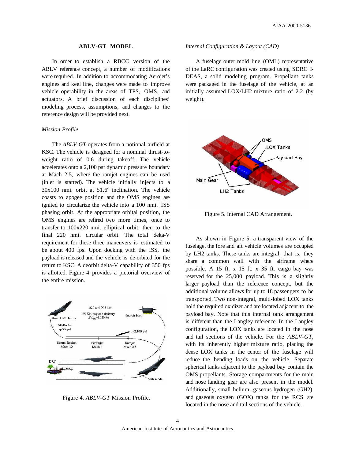#### **ABLV-GT MODEL**

In order to establish a RBCC version of the ABLV reference concept, a number of modifications were required. In addition to accommodating Aerojet's engines and keel line, changes were made to improve vehicle operability in the areas of TPS, OMS, and actuators. A brief discussion of each disciplines' modeling process, assumptions, and changes to the reference design will be provided next.

#### *Mission Profile*

The *ABLV-GT* operates from a notional airfield at KSC. The vehicle is designed for a nominal thrust-toweight ratio of 0.6 during takeoff. The vehicle accelerates onto a 2,100 psf dynamic pressure boundary at Mach 2.5, where the ramjet engines can be used (inlet is started). The vehicle initially injects to a  $30x100$  nmi. orbit at  $51.6^\circ$  inclination. The vehicle coasts to apogee position and the OMS engines are ignited to circularize the vehicle into a 100 nmi. ISS phasing orbit. At the appropriate orbital position, the OMS engines are refired two more times, once to transfer to 100x220 nmi. elliptical orbit, then to the final 220 nmi. circular orbit. The total delta-V requirement for these three maneuvers is estimated to be about 400 fps. Upon docking with the ISS, the payload is released and the vehicle is de-orbited for the return to KSC. A deorbit delta-V capability of 350 fps is allotted. Figure 4 provides a pictorial overview of the entire mission.



Figure 4. *ABLV-GT* Mission Profile.

#### *Internal Configuration & Layout (CAD)*

A fuselage outer mold line (OML) representative of the LaRC configuration was created using SDRC I-DEAS, a solid modeling program. Propellant tanks were packaged in the fuselage of the vehicle, at an initially assumed LOX/LH2 mixture ratio of 2.2 (by weight).



Figure 5. Internal CAD Arrangement.

As shown in Figure 5, a transparent view of the fuselage, the fore and aft vehicle volumes are occupied by LH2 tanks. These tanks are integral, that is, they share a common wall with the airframe where possible. A 15 ft. x 15 ft. x 35 ft. cargo bay was reserved for the 25,000 payload. This is a slightly larger payload than the reference concept, but the additional volume allows for up to 18 passengers to be transported. Two non-integral, multi-lobed LOX tanks hold the required oxidizer and are located adjacent to the payload bay. Note that this internal tank arrangement is different than the Langley reference. In the Langley configuration, the LOX tanks are located in the nose and tail sections of the vehicle. For the *ABLV-GT*, with its inherently higher mixture ratio, placing the dense LOX tanks in the center of the fuselage will reduce the bending loads on the vehicle. Separate spherical tanks adjacent to the payload bay contain the OMS propellants. Storage compartments for the main and nose landing gear are also present in the model. Additionally, small helium, gaseous hydrogen (GH2), and gaseous oxygen (GOX) tanks for the RCS are located in the nose and tail sections of the vehicle.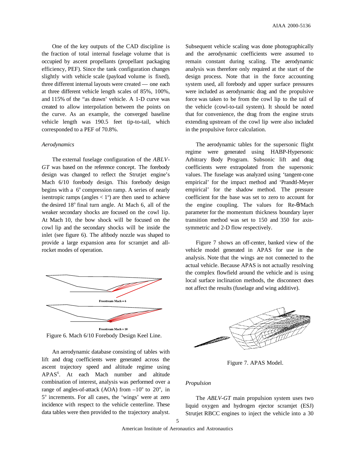One of the key outputs of the CAD discipline is the fraction of total internal fuselage volume that is occupied by ascent propellants (propellant packaging efficiency, PEF). Since the tank configuration changes slightly with vehicle scale (payload volume is fixed), three different internal layouts were created — one each at three different vehicle length scales of 85%, 100%, and 115% of the "as drawn' vehicle. A 1-D curve was created to allow interpolation between the points on the curve. As an example, the converged baseline vehicle length was 190.5 feet tip-to-tail, which corresponded to a PEF of 70.8%.

#### *Aerodynamics*

The external fuselage configuration of the *ABLV-GT* was based on the reference concept. The forebody design was changed to reflect the Strutjet engine's Mach 6/10 forebody design. This forebody design begins with a  $6^\circ$  compression ramp. A series of nearly isentropic ramps (angles  $< 1^{\circ}$ ) are then used to achieve the desired  $18^\circ$  final turn angle. At Mach 6, all of the weaker secondary shocks are focused on the cowl lip. At Mach 10, the bow shock will be focused on the cowl lip and the secondary shocks will be inside the inlet (see figure 6). The aftbody nozzle was shaped to provide a large expansion area for scramjet and allrocket modes of operation.



Figure 6. Mach 6/10 Forebody Design Keel Line.

An aerodynamic database consisting of tables with lift and drag coefficients were generated across the ascent trajectory speed and altitude regime using APAS6 . At each Mach number and altitude combination of interest, analysis was performed over a range of angles-of-attack (AOA) from  $-10^{\circ}$  to  $20^{\circ}$ , in 5° increments. For all cases, the 'wings' were at zero incidence with respect to the vehicle centerline. These data tables were then provided to the trajectory analyst.

Subsequent vehicle scaling was done photographically and the aerodynamic coefficients were assumed to remain constant during scaling. The aerodynamic analysis was therefore only required at the start of the design process. Note that in the force accounting system used, all forebody and upper surface pressures were included as aerodynamic drag and the propulsive force was taken to be from the cowl lip to the tail of the vehicle (cowl-to-tail system). It should be noted that for convenience, the drag from the engine struts extending upstream of the cowl lip were also included in the propulsive force calculation.

The aerodynamic tables for the supersonic flight regime were generated using HABP-Hypersonic Arbitrary Body Program. Subsonic lift and drag coefficients were extrapolated from the supersonic values. The fuselage was analyzed using 'tangent-cone empirical' for the impact method and 'Prandtl-Meyer empirical' for the shadow method. The pressure coefficient for the base was set to zero to account for the engine coupling. The values for Re-θ/Mach parameter for the momentum thickness boundary layer transition method was set to 150 and 350 for axissymmetric and 2-D flow respectively.

Figure 7 shows an off-center, banked view of the vehicle model generated in APAS for use in the analysis. Note that the wings are not connected to the actual vehicle. Because APAS is not actually resolving the complex flowfield around the vehicle and is using local surface inclination methods, the disconnect does not affect the results (fuselage and wing additive).



Figure 7. APAS Model.

# *Propulsion*

The *ABLV-GT* main propulsion system uses two liquid oxygen and hydrogen ejector scramjet (ESJ) Strutjet RBCC engines to inject the vehicle into a 30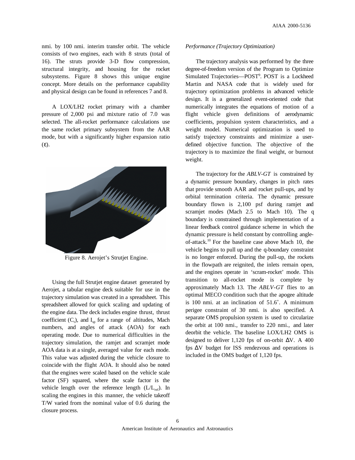nmi. by 100 nmi. interim transfer orbit. The vehicle consists of two engines, each with 8 struts (total of 16). The struts provide 3-D flow compression, structural integrity, and housing for the rocket subsystems. Figure 8 shows this unique engine concept. More details on the performance capability and physical design can be found in references 7 and 8.

A LOX/LH2 rocket primary with a chamber pressure of 2,000 psi and mixture ratio of 7.0 was selected. The all-rocket performance calculations use the same rocket primary subsystem from the AAR mode, but with a significantly higher expansion ratio (ε).



Figure 8. Aerojet's Strutjet Engine.

Using the full Strutjet engine dataset generated by Aerojet, a tabular engine deck suitable for use in the trajectory simulation was created in a spreadsheet. This spreadsheet allowed for quick scaling and updating of the engine data. The deck includes engine thrust, thrust coefficient  $(C_t)$ , and  $I_{sp}$  for a range of altitudes, Mach numbers, and angles of attack (AOA) for each operating mode. Due to numerical difficulties in the trajectory simulation, the ramjet and scramjet mode AOA data is at a single, averaged value for each mode. This value was adjusted during the vehicle closure to coincide with the flight AOA. It should also be noted that the engines were scaled based on the vehicle scale factor (SF) squared, where the scale factor is the vehicle length over the reference length  $(L/L<sub>ref</sub>)$ . In scaling the engines in this manner, the vehicle takeoff T/W varied from the nominal value of 0.6 during the closure process.

## *Performance (Trajectory Optimization)*

The trajectory analysis was performed by the three degree-of-freedom version of the Program to Optimize Simulated Trajectories-POST<sup>9</sup>. POST is a Lockheed Martin and NASA code that is widely used for trajectory optimization problems in advanced vehicle design. It is a generalized event-oriented code that numerically integrates the equations of motion of a flight vehicle given definitions of aerodynamic coefficients, propulsion system characteristics, and a weight model. Numerical optimization is used to satisfy trajectory constraints and minimize a userdefined objective function. The objective of the trajectory is to maximize the final weight, or burnout weight.

The trajectory for the *ABLV-GT* is constrained by a dynamic pressure boundary, changes in pitch rates that provide smooth AAR and rocket pull-ups, and by orbital termination criteria. The dynamic pressure boundary flown is 2,100 psf during ramjet and scramjet modes (Mach 2.5 to Mach 10). The q boundary is constrained through implementation of a linear feedback control guidance scheme in which the dynamic pressure is held constant by controlling angleof-attack.10 For the baseline case above Mach 10, the vehicle begins to pull up and the q-boundary constraint is no longer enforced. During the pull-up, the rockets in the flowpath are reignited, the inlets remain open, and the engines operate in 'scram-rocket' mode. This transition to all-rocket mode is complete by approximately Mach 13. The *ABLV-GT* flies to an optimal MECO condition such that the apogee altitude is 100 nmi. at an inclination of 51.6˚. A minimum perigee constraint of 30 nmi. is also specified. A separate OMS propulsion system is used to circularize the orbit at 100 nmi., transfer to 220 nmi., and later deorbit the vehicle. The baseline LOX/LH2 OMS is designed to deliver 1,120 fps of on-orbit  $\Delta V$ . A 400 fps ∆V budget for ISS rendezvous and operations is included in the OMS budget of 1,120 fps.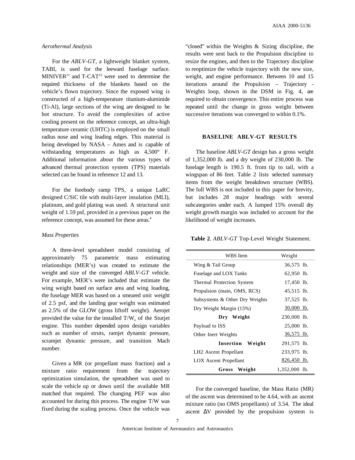#### *Aerothermal Analysis*

For the *ABLV-GT*, a lightweight blanket system, TABI, is used for the leeward fuselage surface.  $MINIVER<sup>11</sup>$  and T-CAT<sup>12</sup> were used to determine the required thickness of the blankets based on the vehicle's flown trajectory. Since the exposed wing is constructed of a high-temperature titanium-aluminide (Ti-Al), large sections of the wing are designed to be hot structure. To avoid the complexities of active cooling present on the reference concept, an ultra-high temperature ceramic (UHTC) is employed on the small radius nose and wing leading edges. This material is being developed by NASA – Ames and is capable of withstanding temperatures as high as 4,500° F. Additional information about the various types of advanced thermal protection system (TPS) materials selected can be found in reference 12 and 13.

For the forebody ramp TPS, a unique LaRC designed C/SiC tile with multi-layer insulation (MLI), platinum, and gold plating was used. A structural unit weight of 1.59 psf, provided in a previous paper on the reference concept, was assumed for these areas.<sup>4</sup>

#### *Mass Properties*

A three-level spreadsheet model consisting of approximately 75 parametric mass estimating relationships (MER's) was created to estimate the weight and size of the converged *ABLV-GT* vehicle. For example, MER's were included that estimate the wing weight based on surface area and wing loading, the fuselage MER was based on a smeared unit weight of 2.5 psf, and the landing gear weight was estimated as 2.5% of the GLOW (gross liftoff weight). Aerojet provided the value for the installed  $T/W_e$  of the Stutjet engine. This number depended upon design variables such as number of struts, ramjet dynamic pressure, scramjet dynamic pressure, and transition Mach number.

Given a MR (or propellant mass fraction) and a mixture ratio requirement from the trajectory optimization simulation, the spreadsheet was used to scale the vehicle up or down until the available MR matched that required. The changing PEF was also accounted for during this process. The engine T/W was fixed during the scaling process. Once the vehicle was

"closed" within the Weights & Sizing discipline, the results were sent back to the Propulsion discipline to resize the engines, and then to the Trajectory discipline to reoptimize the vehicle trajectory with the new size, weight, and engine performance. Between 10 and 15 iterations around the Propulsion – Trajectory - Weights loop, shown in the DSM in Fig. 4, are required to obtain convergence. This entire process was repeated until the change in gross weight between successive iterations was converged to within 0.1%.

# **BASELINE ABLV-GT RESULTS**

The baseline *ABLV-GT* design has a gross weight of 1,352,000 lb. and a dry weight of 230,000 lb. The fuselage length is 190.5 ft. from tip to tail, with a wingspan of 86 feet. Table 2 lists selected summary items from the weight breakdown structure (WBS). The full WBS is not included in this paper for brevity, but includes 28 major headings with several subcategories under each. A lumped 15% overall dry weight growth margin was included to account for the likelihood of weight increases.

**Table 2**. *ABLV-GT* Top-Level Weight Statement.

| WBS Item                          | Weight        |
|-----------------------------------|---------------|
| Wing & Tail Group                 | 36,575 lb.    |
| Fuselage and LOX Tanks            | 62,950 lb.    |
| Thermal Protection System         | 17,450 lb.    |
| Propulsion (main, OMS, RCS)       | 45,515 lb.    |
| Subsystems & Other Dry Weights    | 37,525 lb.    |
| Dry Weight Margin (15%)           | $30,000$ lb.  |
| Dry Weight                        | 230,000 lb.   |
| Payload to ISS                    | 25,000 lb.    |
| Other Inert Weights               | 36,575 lb.    |
| Insertion<br>Weight               | 291,575 lb.   |
| LH <sub>2</sub> Ascent Propellant | 233,975 lb.   |
| <b>LOX</b> Ascent Propellant      | 826,450 lb.   |
| Gross Weight                      | 1,352,000 lb. |

For the converged baseline, the Mass Ratio (MR) of the ascent was determined to be 4.64, with an ascent mixture ratio (no OMS propellants) of 3.54. The ideal ascent ∆V provided by the propulsion system is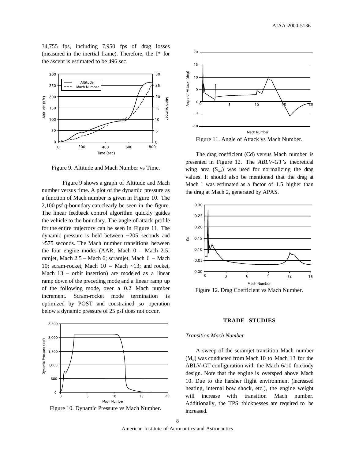34,755 fps, including 7,950 fps of drag losses (measured in the inertial frame). Therefore, the I\* for the ascent is estimated to be 496 sec.



Figure 9. Altitude and Mach Number vs Time.

Figure 9 shows a graph of Altitude and Mach number versus time. A plot of the dynamic pressure as a function of Mach number is given in Figure 10. The 2,100 psf q-boundary can clearly be seen in the figure. The linear feedback control algorithm quickly guides the vehicle to the boundary. The angle-of-attack profile for the entire trajectory can be seen in Figure 11. The dynamic pressure is held between ~205 seconds and ~575 seconds. The Mach number transitions between the four engine modes (AAR, Mach  $0 -$  Mach  $2.5$ ; ramjet, Mach 2.5 – Mach 6; scramjet, Mach 6 – Mach 10; scram-rocket, Mach 10 – Mach ~13; and rocket, Mach 13 – orbit insertion) are modeled as a linear ramp down of the preceding mode and a linear ramp up of the following mode, over a 0.2 Mach number increment. Scram-rocket mode termination is optimized by POST and constrained so operation below a dynamic pressure of 25 psf does not occur.



Figure 10. Dynamic Pressure vs Mach Number.



Figure 11. Angle of Attack vs Mach Number.

The drag coefficient (Cd) versus Mach number is presented in Figure 12. The *ABLV-GT's* theoretical wing area  $(S_{ref})$  was used for normalizing the drag values. It should also be mentioned that the drag at Mach 1 was estimated as a factor of 1.5 higher than the drag at Mach 2, generated by APAS.



Figure 12. Drag Coefficient vs Mach Number.

#### **TRADE STUDIES**

#### *Transition Mach Number*

A sweep of the scramjet transition Mach number  $(M<sub>r</sub>)$  was conducted from Mach 10 to Mach 13 for the ABLV-GT configuration with the Mach 6/10 forebody design. Note that the engine is oversped above Mach 10. Due to the harsher flight environment (increased heating, internal bow shock, etc.), the engine weight will increase with transition Mach number. Additionally, the TPS thicknesses are required to be increased.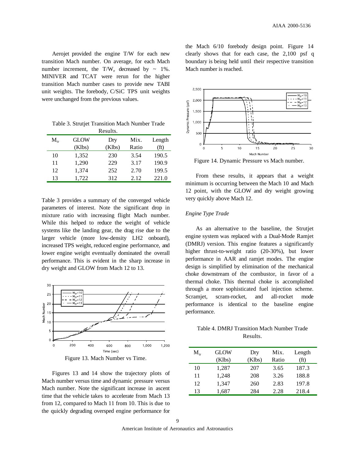Aerojet provided the engine T/W for each new transition Mach number. On average, for each Mach number increment, the  $T/W_e$  decreased by  $\sim 1\%$ . MINIVER and TCAT were rerun for the higher transition Mach number cases to provide new TABI unit weights. The forebody, C/SiC TPS unit weights were unchanged from the previous values.

| Table 3. Strutjet Transition Mach Number Trade |  |
|------------------------------------------------|--|
| Results.                                       |  |

| 1100 4160. |                       |               |               |                |
|------------|-----------------------|---------------|---------------|----------------|
| $M_{tr}$   | <b>GLOW</b><br>(Klbs) | Dry<br>(Klbs) | Mix.<br>Ratio | Length<br>(ft) |
| 10         | 1,352                 | 230           | 3.54          | 190.5          |
| 11         | 1,290                 | 229           | 3.17          | 190.9          |
| 12         | 1,374                 | 252           | 2.70          | 199.5          |
| 13         | 1.722                 | 312           | 2.12          | 221.0          |

Table 3 provides a summary of the converged vehicle parameters of interest. Note the significant drop in mixture ratio with increasing flight Mach number. While this helped to reduce the weight of vehicle systems like the landing gear, the drag rise due to the larger vehicle (more low-density LH2 onboard), increased TPS weight, reduced engine performance, and lower engine weight eventually dominated the overall performance. This is evident in the sharp increase in dry weight and GLOW from Mach 12 to 13.





Figures 13 and 14 show the trajectory plots of Mach number versus time and dynamic pressure versus Mach number. Note the significant increase in ascent time that the vehicle takes to accelerate from Mach 13 from 12, compared to Mach 11 from 10. This is due to the quickly degrading oversped engine performance for

the Mach 6/10 forebody design point. Figure 14 clearly shows that for each case, the 2,100 psf q boundary is being held until their respective transition Mach number is reached.



Figure 14. Dynamic Pressure vs Mach number.

From these results, it appears that a weight minimum is occurring between the Mach 10 and Mach 12 point, with the GLOW and dry weight growing very quickly above Mach 12.

### *Engine Type Trade*

As an alternative to the baseline, the Strutjet engine system was replaced with a Dual-Mode Ramjet (DMRJ) version. This engine features a significantly higher thrust-to-weight ratio (20-30%), but lower performance in AAR and ramjet modes. The engine design is simplified by elimination of the mechanical choke downstream of the combustor, in favor of a thermal choke. This thermal choke is accomplished through a more sophisticated fuel injection scheme. Scramjet, scram-rocket, and all-rocket mode performance is identical to the baseline engine performance.

# Table 4. DMRJ Transition Mach Number Trade Results.

| $M_{tr}$ | GLOW<br>(Klbs) | Dry<br>(Klbs) | Mix.<br>Ratio | Length<br>(f <sub>t</sub> ) |
|----------|----------------|---------------|---------------|-----------------------------|
| 10       | 1,287          | 207           | 3.65          | 187.3                       |
| 11       | 1.248          | 208           | 3.26          | 188.8                       |
| 12       | 1,347          | 260           | 2.83          | 197.8                       |
| 13       | 1,687          | 284           | 2.28          | 218.4                       |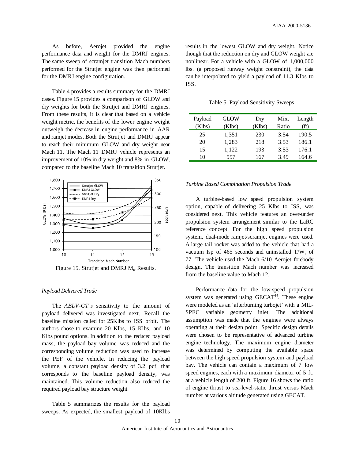As before, Aerojet provided the engine performance data and weight for the DMRJ engines. The same sweep of scramjet transition Mach numbers performed for the Strutjet engine was then performed for the DMRJ engine configuration.

Table 4 provides a results summary for the DMRJ cases. Figure 15 provides a comparison of GLOW and dry weights for both the Strutjet and DMRJ engines. From these results, it is clear that based on a vehicle weight metric, the benefits of the lower engine weight outweigh the decrease in engine performance in AAR and ramjet modes. Both the Strutjet and DMRJ appear to reach their minimum GLOW and dry weight near Mach 11. The Mach 11 DMRJ vehicle represents an improvement of 10% in dry weight and 8% in GLOW, compared to the baseline Mach 10 transition Strutjet.



Figure 15. Strutjet and DMRJ  $M_{tr}$  Results.

#### *Payload Delivered Trade*

The *ABLV-GT's* sensitivity to the amount of payload delivered was investigated next. Recall the baseline mission called for 25Klbs to ISS orbit. The authors chose to examine 20 Klbs, 15 Klbs, and 10 Klbs pound options. In addition to the reduced payload mass, the payload bay volume was reduced and the corresponding volume reduction was used to increase the PEF of the vehicle. In reducing the payload volume, a constant payload density of 3.2 pcf, that corresponds to the baseline payload density, was maintained. This volume reduction also reduced the required payload bay structure weight.

Table 5 summarizes the results for the payload sweeps. As expected, the smallest payload of 10Klbs results in the lowest GLOW and dry weight. Notice though that the reduction on dry and GLOW weight are nonlinear. For a vehicle with a GLOW of 1,000,000 lbs. (a proposed runway weight constraint), the data can be interpolated to yield a payload of 11.3 Klbs to ISS.

Table 5. Payload Sensitivity Sweeps.

| Payload<br>(Klbs) | GLOW<br>(Klbs) | Dry<br>(Klbs) | Mix.<br>Ratio | Length<br>(ft) |
|-------------------|----------------|---------------|---------------|----------------|
| 25                | 1,351          | 230           | 3.54          | 190.5          |
| 20                | 1,283          | 218           | 3.53          | 186.1          |
| 15                | 1,122          | 193           | 3.53          | 176.1          |
| 10                | 957            | 167           | 3.49          | 164.6          |

#### *Turbine Based Combination Propulsion Trade*

A turbine-based low speed propulsion system option, capable of delivering 25 Klbs to ISS, was considered next. This vehicle features an over-under propulsion system arrangement similar to the LaRC reference concept. For the high speed propulsion system, dual-mode ramjet/scramjet engines were used. A large tail rocket was added to the vehicle that had a vacuum Isp of 465 seconds and uninstalled  $T/W_e$  of 77. The vehicle used the Mach 6/10 Aerojet forebody design. The transition Mach number was increased from the baseline value to Mach 12.

Performance data for the low-speed propulsion system was generated using  $GECAT<sup>14</sup>$ . These engine were modeled as an 'afterburning turbojet' with a MIL-SPEC variable geometry inlet. The additional assumption was made that the engines were always operating at their design point. Specific design details were chosen to be representative of advanced turbine engine technology. The maximum engine diameter was determined by computing the available space between the high speed propulsion system and payload bay. The vehicle can contain a maximum of 7 low speed engines, each with a maximum diameter of 5 ft. at a vehicle length of 200 ft. Figure 16 shows the ratio of engine thrust to sea-level-static thrust versus Mach number at various altitude generated using GECAT.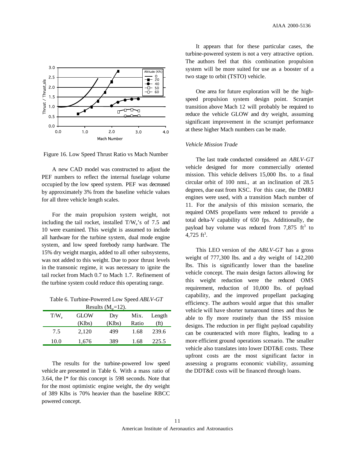

Figure 16. Low Speed Thrust Ratio vs Mach Number

A new CAD model was constructed to adjust the PEF numbers to reflect the internal fuselage volume occupied by the low speed system. PEF was decreased by approximately 3% from the baseline vehicle values for all three vehicle length scales.

For the main propulsion system weight, not including the tail rocket, installed  $T/W_e$ 's of 7.5 and 10 were examined. This weight is assumed to include all hardware for the turbine system, dual mode engine system, and low speed forebody ramp hardware. The 15% dry weight margin, added to all other subsystems, was not added to this weight. Due to poor thrust levels in the transonic regime, it was necessary to ignite the tail rocket from Mach 0.7 to Mach 1.7. Refinement of the turbine system could reduce this operating range.

Table 6. Turbine-Powered Low Speed *ABLV-GT*  $P_{\text{scult}}(M=12)$ 

| Results $(Nl_{tr} = 12)$ . |             |        |       |                   |
|----------------------------|-------------|--------|-------|-------------------|
| $T/W_{\alpha}$             | <b>GLOW</b> | Dry    | Mix.  | Length            |
|                            | (Klbs)      | (Klbs) | Ratio | (f <sub>t</sub> ) |
| 7.5                        | 2.120       | 499    | 1.68  | 239.6             |
| 10.0                       | 1,676       | 389    | 1.68  | 225.5             |

The results for the turbine-powered low speed vehicle are presented in Table 6. With a mass ratio of 3.64, the I\* for this concept is 598 seconds. Note that for the most optimistic engine weight, the dry weight of 389 Klbs is 70% heavier than the baseline RBCC powered concept.

It appears that for these particular cases, the turbine-powered system is not a very attractive option. The authors feel that this combination propulsion system will be more suited for use as a booster of a two stage to orbit (TSTO) vehicle.

One area for future exploration will be the highspeed propulsion system design point. Scramjet transition above Mach 12 will probably be required to reduce the vehicle GLOW and dry weight, assuming significant improvement in the scramjet performance at these higher Mach numbers can be made.

# *Vehicle Mission Trade*

The last trade conducted considered an *ABLV-GT* vehicle designed for more commercially oriented mission. This vehicle delivers 15,000 lbs. to a final circular orbit of 100 nmi., at an inclination of 28.5 degrees, due east from KSC. For this case, the DMRJ engines were used, with a transition Mach number of 11. For the analysis of this mission scenario, the required OMS propellants were reduced to provide a total delta-V capability of 650 fps. Additionally, the payload bay volume was reduced from  $7,875$  ft<sup>3</sup> to  $4,725$  ft<sup>3</sup>.

This LEO version of the *ABLV-GT* has a gross weight of 777,300 lbs. and a dry weight of 142,200 lbs. This is significantly lower than the baseline vehicle concept. The main design factors allowing for this weight reduction were the reduced OMS requirement, reduction of 10,000 lbs. of payload capability, and the improved propellant packaging efficiency. The authors would argue that this smaller vehicle will have shorter turnaround times and thus be able to fly more routinely than the ISS mission designs. The reduction in per flight payload capability can be counteracted with more flights, leading to a more efficient ground operations scenario. The smaller vehicle also translates into lower DDT&E costs. These upfront costs are the most significant factor in assessing a programs economic viability, assuming the DDT&E costs will be financed through loans.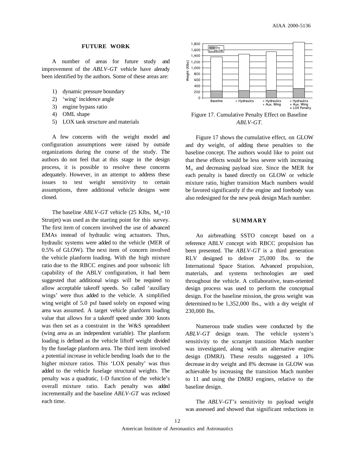#### **FUTURE WORK**

A number of areas for future study and improvement of the *ABLV-GT* vehicle have already been identified by the authors. Some of these areas are:

- 1) dynamic pressure boundary
- 2) 'wing' incidence angle
- 3) engine bypass ratio
- 4) OML shape
- 5) LOX tank structure and materials

A few concerns with the weight model and configuration assumptions were raised by outside organizations during the course of the study. The authors do not feel that at this stage in the design process, it is possible to resolve these concerns adequately. However, in an attempt to address these issues to test weight sensitivity to certain assumptions, three additional vehicle designs were closed.

The baseline  $ABLV$ -GT vehicle (25 Klbs,  $M_{tr}=10$ ) Strutjet) was used as the starting point for this survey. The first item of concern involved the use of advanced EMAs instead of hydraulic wing actuators. Thus, hydraulic systems were added to the vehicle (MER of 0.5% of GLOW). The next item of concern involved the vehicle planform loading. With the high mixture ratio due to the RBCC engines and poor subsonic lift capability of the ABLV configuration, it had been suggested that additional wings will be required to allow acceptable takeoff speeds. So called 'auxillary wings' were thus added to the vehicle. A simplified wing weight of 5.0 psf based solely on exposed wing area was assumed. A target vehicle planform loading value that allows for a takeoff speed under 300 knots was then set as a constraint in the W&S spreadsheet (wing area as an independent variable). The planform loading is defined as the vehicle liftoff weight divided by the fuselage planform area. The third item involved a potential increase in vehicle bending loads due to the higher mixture ratios. This 'LOX penalty' was thus added to the vehicle fuselage structural weights. The penalty was a quadratic, 1-D function of the vehicle's overall mixture ratio. Each penalty was added incrementally and the baseline *ABLV-GT* was reclosed each time.



Figure 17. Cumulative Penalty Effect on Baseline *ABLV-GT.*

Figure 17 shows the cumulative effect, on GLOW and dry weight, of adding these penalties to the baseline concept. The authors would like to point out that these effects would be less severe with increasing  $M_{tr}$  and decreasing payload size. Since the MER for each penalty is based directly on GLOW or vehicle mixture ratio, higher transition Mach numbers would be favored significantly if the engine and forebody was also redesigned for the new peak design Mach number.

#### **SUMMARY**

An airbreathing SSTO concept based on a reference ABLV concept with RBCC propulsion has been presented. The *ABLV-GT* is a third generation RLV designed to deliver 25,000 lbs. to the International Space Station. Advanced propulsion, materials, and systems technologies are used throughout the vehicle. A collaborative, team-oriented design process was used to perform the conceptual design. For the baseline mission, the gross weight was determined to be 1,352,000 lbs., with a dry weight of 230,000 lbs.

Numerous trade studies were conducted by the *ABLV-GT* design team. The vehicle system's sensitivity to the scramjet transition Mach number was investigated, along with an alternative engine design (DMRJ). These results suggested a 10% decrease in dry weight and 8% decrease in GLOW was achievable by increasing the transition Mach number to 11 and using the DMRJ engines, relative to the baseline design.

The *ABLV-GT's* sensitivity to payload weight was assessed and showed that significant reductions in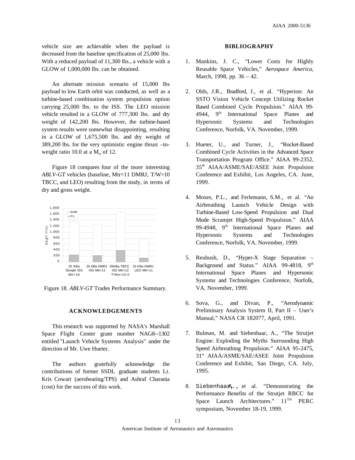vehicle size are achievable when the payload is decreased from the baseline specification of 25,000 lbs. With a reduced payload of 11,300 lbs., a vehicle with a GLOW of 1,000,000 lbs. can be obtained.

An alternate mission scenario of 15,000 lbs payload to low Earth orbit was conducted, as well as a turbine-based combination system propulsion option carrying 25,000 lbs. to the ISS. The LEO mission vehicle resulted in a GLOW of 777,300 lbs. and dry weight of 142,200 lbs. However, the turbine-based system results were somewhat disappointing, resulting in a GLOW of 1,675,500 lbs. and dry weight of 389,200 lbs. for the very optimistic engine thrust –toweight ratio 10.0 at a  $M_{tr}$  of 12.

Figure 18 compares four of the more interesting *ABLV-GT* vehicles (baseline, Mtr=11 DMRJ, T/W=10 TBCC, and LEO) resulting from the study, in terms of dry and gross weight.



Figure 18. *ABLV-GT* Trades Performance Summary.

#### **ACKNOWLEDGEMENTS**

This research was supported by NASA's Marshall Space Flight Center grant number NAG8--1302 entitled "Launch Vehicle Systems Analysis" under the direction of Mr. Uwe Hueter.

The authors gratefully acknowledge the contributions of former SSDL graduate students Lt. Kris Cowart (aeroheating/TPS) and Ashraf Charania (cost) for the success of this work.

#### **BIBLIOGRAPHY**

- 1. Mankins, J. C., "Lower Costs for Highly Reusable Space Vehicles," *Aerospace America*, March, 1998, pp. 36 – 42.
- 2. Olds, J.R., Bradford, J., et al. "Hyperion: An SSTO Vision Vehicle Concept Utilizing Rocket Based Combined Cycle Propulsion." AIAA 99- 4944, 9th International Space Planes and Hypersonic Systems and Technologies Conference, Norfolk, VA. November, 1999.
- 3. Hueter, U., and Turner, J., "Rocket-Based Combined Cycle Activities in the Advanced Space Transportation Program Office." AIAA 99-2352, 35th AIAA/ASME/SAE/ASEE Joint Propulsion Conference and Exhibit, Los Angeles, CA. June, 1999.
- 4. Moses, P.L., and Ferlemann, S.M., et al. "An Airbreathing Launch Vehicle Design with Turbine-Based Low-Speed Propulsion and Dual Mode Scramjet High-Speed Propulsion." AIAA 99-4948, 9<sup>th</sup> International Space Planes and Hypersonic Systems and Technologies Conference, Norfolk, VA. November, 1999.
- 5. Reubush, D., "Hyper-X Stage Separation Background and Status." AIAA 99-4818, 9<sup>th</sup> International Space Planes and Hypersonic Systems and Technologies Conference, Norfolk, VA. November, 1999.
- 6. Sova, G., and Divan, P., "Aerodynamic Preliminary Analysis System II, Part II – User's Manual," NASA CR 182077, April, 1991.
- 7. Bulman, M. and Siebenhaar, A., "The Strutjet Engine: Exploding the Myths Surrounding High Speed Airbreathing Propulsion." AIAA 95-2475, 31st AIAA/ASME/SAE/ASEE Joint Propulsion Conference and Exhibit, San Diego, CA. July, 1995.
- 8. Siebenhaar, et al. "Demonstrating the Performance Benefits of the Strutjet RBCC for Space Launch Architectures."  $11<sup>TH</sup>$  PERC symposium, November 18-19, 1999.